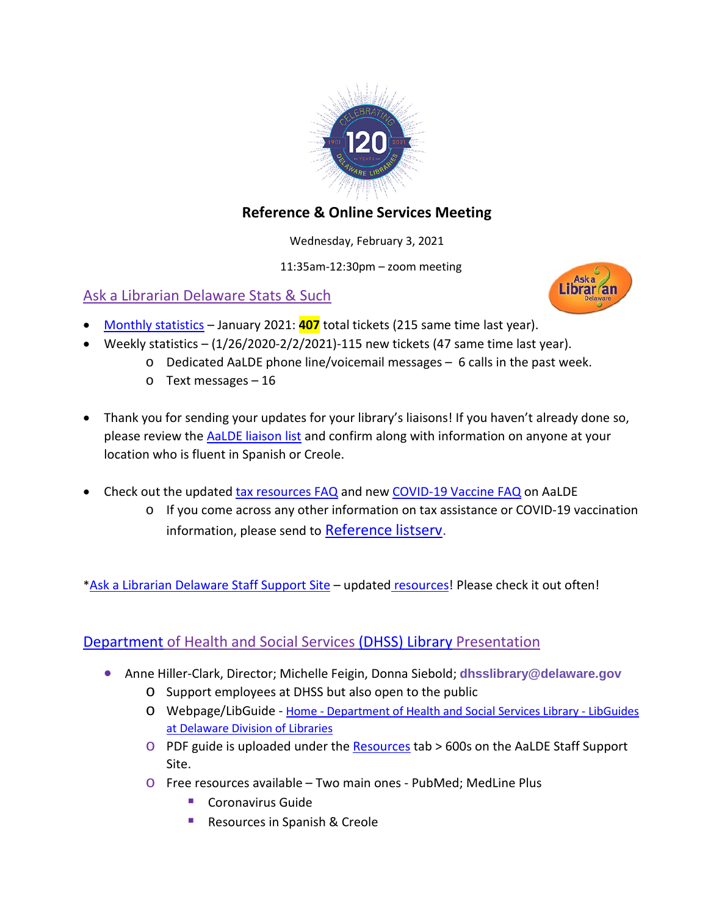

# **Reference & Online Services Meeting**

Wednesday, February 3, 2021

11:35am-12:30pm – zoom meeting

# Ask a Librarian Delaware Stats & Such



- [Monthly statistics](https://aalstaff.lib.de.us/home/reports/fy21-monthly-reports/) January 2021: **407** total tickets (215 same time last year).
- Weekly statistics  $(1/26/2020-2/2/2021)-115$  new tickets (47 same time last year).
	- o Dedicated AaLDE phone line/voicemail messages 6 calls in the past week.
	- o Text messages 16
- Thank you for sending your updates for your library's liaisons! If you haven't already done so, please review the [AaLDE liaison list](https://aalstaff.lib.de.us/files/2021/01/DE-ReferenceServicesLiaisonsFebruary2021.pdf) and confirm along with information on anyone at your location who is fluent in Spanish or Creole.
- Check out the updated [tax resources FAQ](https://answers.delawarelibraries.org/faq/317164) and new [COVID-19 Vaccine FAQ](https://answers.delawarelibraries.org/faq/337383) on AaLDE
	- o If you come across any other information on tax assistance or COVID-19 vaccination information, please send to [Reference listserv.](mailto:REFERENCE@LISTSERV.LIB.DE.US)

[\\*Ask a Librarian Delaware Staff Support Site](https://aalstaff.lib.de.us/) - updated [resources!](https://aalstaff.lib.de.us/resources/) Please check it out often!

# [Department](https://dhss.delaware.gov/dhss/library.html#:%7E:text=The%20Delaware%20Health%20and%20Social%20Services%20(DHSS)%20Library,the%20public%20with%20health-%20and%20social%20service-related%20questions.) of Health and Social Services [\(DHSS\) Library](https://guides.lib.de.us/dhsslibrary) Presentation

- Anne Hiller-Clark, Director; Michelle Feigin, Donna Siebold; **[dhsslibrary@delaware.gov](mailto:dhsslibrary@delaware.gov?subject=Question.)**
	- o Support employees at DHSS but also open to the public
	- o Webpage/LibGuide Home [Department of Health and Social Services Library -](https://guides.lib.de.us/dhsslibrary/home) LibGuides [at Delaware Division of Libraries](https://guides.lib.de.us/dhsslibrary/home)
	- o PDF guide is uploaded under the [Resources](https://aalstaff.lib.de.us/resources/) tab > 600s on the AaLDE Staff Support Site.
	- o Free resources available Two main ones PubMed; MedLine Plus
		- Coronavirus Guide
		- Resources in Spanish & Creole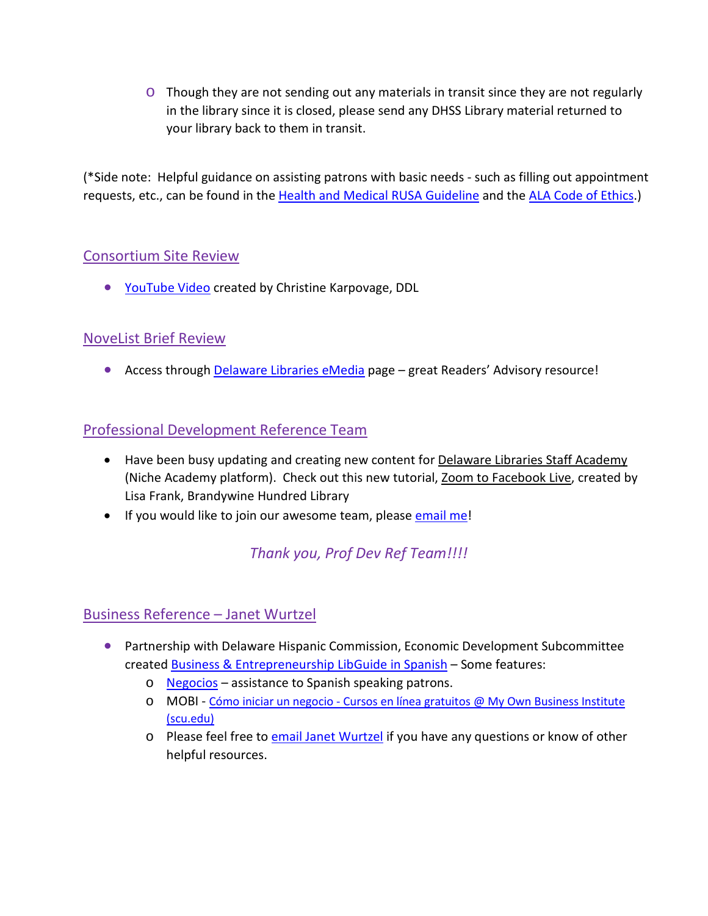$\circ$  Though they are not sending out any materials in transit since they are not regularly in the library since it is closed, please send any DHSS Library material returned to your library back to them in transit.

(\*Side note: Helpful guidance on assisting patrons with basic needs - such as filling out appointment requests, etc., can be found in the [Health and Medical RUSA Guideline](http://www.ala.org/rusa/resources/guidelines/guidelinesmedical) and the [ALA Code of Ethics.](http://www.ala.org/tools/ethics#:%7E:text=ALA))

## Consortium Site Review

• [YouTube Video](https://youtu.be/6-WFIWUghKE) created by Christine Karpovage, DDL

# NoveList Brief Review

• Access through [Delaware Libraries eMedia](https://lib.de.us/emedia/) page – great Readers' Advisory resource!

## Professional Development Reference Team

- Have been busy updating and creating new content for [Delaware Libraries Staff Academy](https://my.nicheacademy.com/my-niche) (Niche Academy platform). Check out this new tutorial, [Zoom to Facebook Live,](https://my.nicheacademy.com/delawarelibrariesstaffacademy/course/24637) created by Lisa Frank, Brandywine Hundred Library
- If you would like to join our awesome team, please [email me!](mailto:missy.williams@lib.de.us)

# *Thank you, Prof Dev Ref Team!!!!*

# Business Reference – Janet Wurtzel

- Partnership with Delaware Hispanic Commission, Economic Development Subcommittee created [Business & Entrepreneurship LibGuide in Spanish](https://guides.lib.de.us/c.php?g=584085&p=8163964) – Some features:
	- $\circ$  [Negocios](https://delawarelibraries.libwizard.com/f/ayudaempresarial) assistance to Spanish speaking patrons.
	- o MOBI Cómo iniciar un negocio [Cursos en línea gratuitos @ My Own Business Institute](https://www.scu.edu/mobiespanol/)  [\(scu.edu\)](https://www.scu.edu/mobiespanol/)
	- o Please feel free t[o email Janet Wurtz](mailto:janet.wurtzel@lib.de.us)el if you have any questions or know of other helpful resources.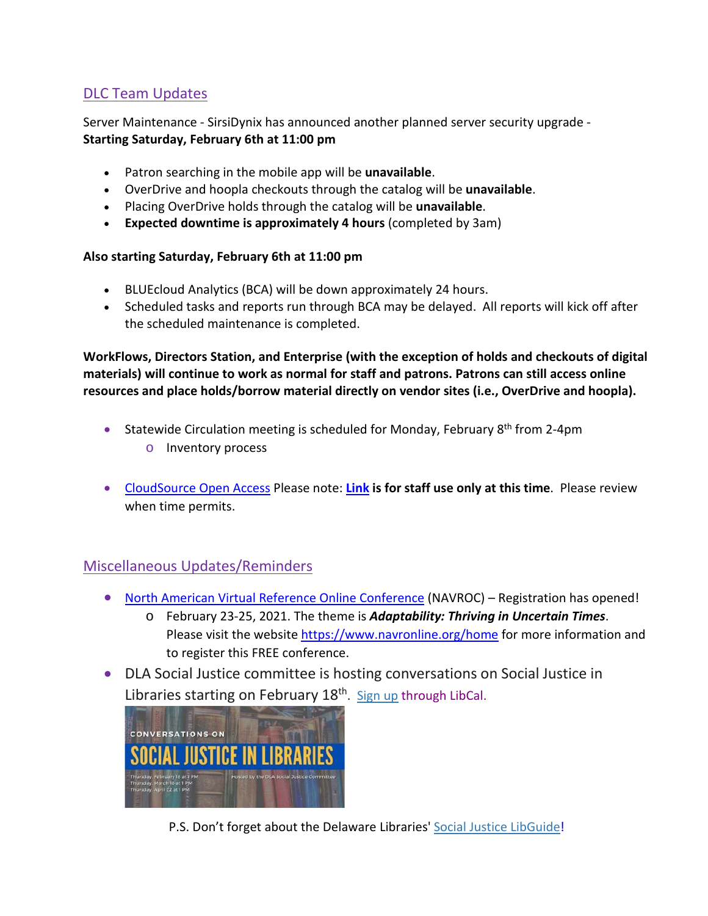# DLC Team Updates

Server Maintenance - SirsiDynix has announced another planned server security upgrade - **Starting Saturday, February 6th at 11:00 pm**

- Patron searching in the mobile app will be **unavailable**.
- OverDrive and hoopla checkouts through the catalog will be **unavailable**.
- Placing OverDrive holds through the catalog will be **unavailable**.
- **Expected downtime is approximately 4 hours** (completed by 3am)

#### **Also starting Saturday, February 6th at 11:00 pm**

- BLUEcloud Analytics (BCA) will be down approximately 24 hours.
- Scheduled tasks and reports run through BCA may be delayed. All reports will kick off after the scheduled maintenance is completed.

**WorkFlows, Directors Station, and Enterprise (with the exception of holds and checkouts of digital materials) will continue to work as normal for staff and patrons. Patrons can still access online resources and place holds/borrow material directly on vendor sites (i.e., OverDrive and hoopla).**

- Statewide Circulation meeting is scheduled for Monday, February  $8<sup>th</sup>$  from 2-4pm o Inventory process
- [CloudSource Open Access](https://dlc.lib.de.us/client/en_US/CSOA/) Please note: **[Link](https://dlc.lib.de.us/client/en_US/CSOA/) is for staff use only at this time**. Please review when time permits.

# Miscellaneous Updates/Reminders

- [North American Virtual Reference Online Conference](https://www.navronline.org/home) (NAVROC) Registration has opened!
	- o February 23-25, 2021. The theme is *Adaptability: Thriving in Uncertain Times*. Please visit the website<https://www.navronline.org/home> for more information and to register this FREE conference.
- DLA Social Justice committee is hosting conversations on Social Justice in Libraries starting on February 18<sup>th</sup>. [Sign up](https://delawarelibraries.libcal.com/calendar/dla?t=d&q=social&cid=9946&cal=9946&inc=0) through LibCal.



P.S. Don't forget about the Delaware Libraries' [Social Justice LibGuide!](https://guides.lib.de.us/socialjustice)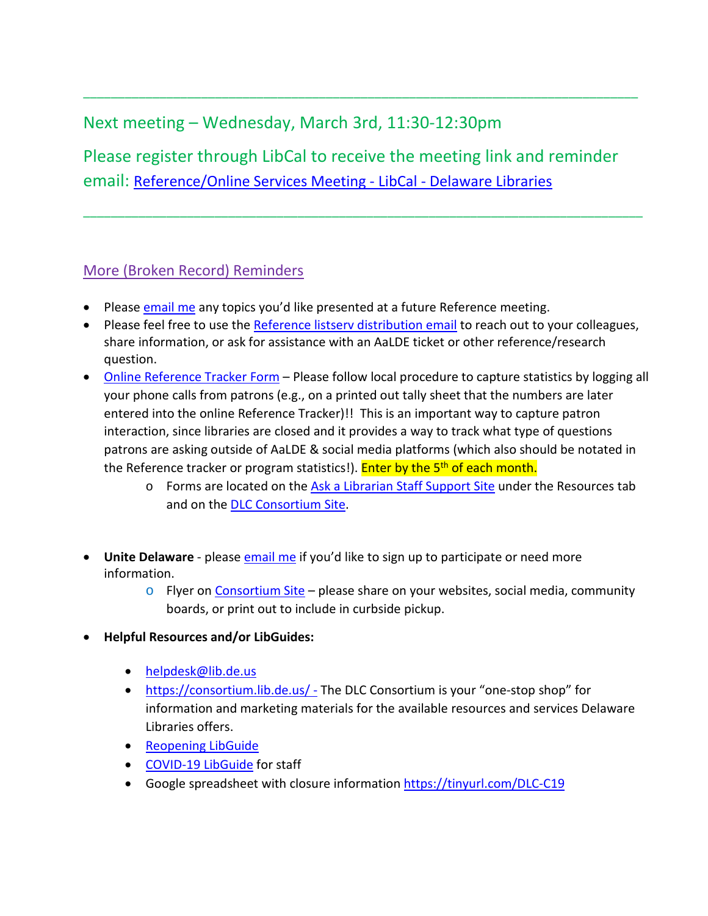# Next meeting – Wednesday, March 3rd, 11:30-12:30pm

Please register through LibCal to receive the meeting link and reminder email: [Reference/Online Services Meeting -](https://delawarelibraries.libcal.com/event/7513923) LibCal - Delaware Libraries

\_\_\_\_\_\_\_\_\_\_\_\_\_\_\_\_\_\_\_\_\_\_\_\_\_\_\_\_\_\_\_\_\_\_\_\_\_\_\_\_\_\_\_\_\_\_\_\_\_\_\_\_\_\_\_\_\_\_\_\_\_\_\_\_\_\_\_\_\_\_\_\_\_\_\_\_\_\_\_\_\_

\_\_\_\_\_\_\_\_\_\_\_\_\_\_\_\_\_\_\_\_\_\_\_\_\_\_\_\_\_\_\_\_\_\_\_\_\_\_\_\_\_\_\_\_\_\_\_\_\_\_\_\_\_\_\_\_\_\_\_\_\_\_\_\_\_\_\_\_\_\_\_\_\_\_\_\_\_\_\_\_

## More (Broken Record) Reminders

- Please [email me](mailto:missy.williams@lib.de.us) any topics you'd like presented at a future Reference meeting.
- Please feel free to use the Reference listsery distribution email to reach out to your colleagues, share information, or ask for assistance with an AaLDE ticket or other reference/research question.
- [Online Reference Tracker Form](https://de.countingopinions.com/s/feedback/index.php?survey_id=598&loc_id=en_CA) Please follow local procedure to capture statistics by logging all your phone calls from patrons (e.g., on a printed out tally sheet that the numbers are later entered into the online Reference Tracker)!! This is an important way to capture patron interaction, since libraries are closed and it provides a way to track what type of questions patrons are asking outside of AaLDE & social media platforms (which also should be notated in the Reference tracker or program statistics!). Enter by the 5<sup>th</sup> of each month.
	- $\circ$  Forms are located on the [Ask a Librarian Staff Support Site](https://aalstaff.lib.de.us/resources/) under the Resources tab and on the [DLC Consortium Site.](https://consortium.lib.de.us/)
- Unite Delaware please **email me** if you'd like to sign up to participate or need more information.
	- $\circ$  Flyer on [Consortium Site](https://consortium.lib.de.us/marketing/) please share on your websites, social media, community boards, or print out to include in curbside pickup.
- **Helpful Resources and/or LibGuides:**
	- [helpdesk@lib.de.us](mailto:helpdesk@lib.de.us)
	- <https://consortium.lib.de.us/> The DLC Consortium is your "one-stop shop" for information and marketing materials for the available resources and services Delaware Libraries offers.
	- [Reopening LibGuide](https://guides.lib.de.us/delibraries/COVID-19/reopening)
	- [COVID-19 LibGuide](https://guides.lib.de.us/delibraries/COVID-19) for staff
	- Google spreadsheet with closure information<https://tinyurl.com/DLC-C19>